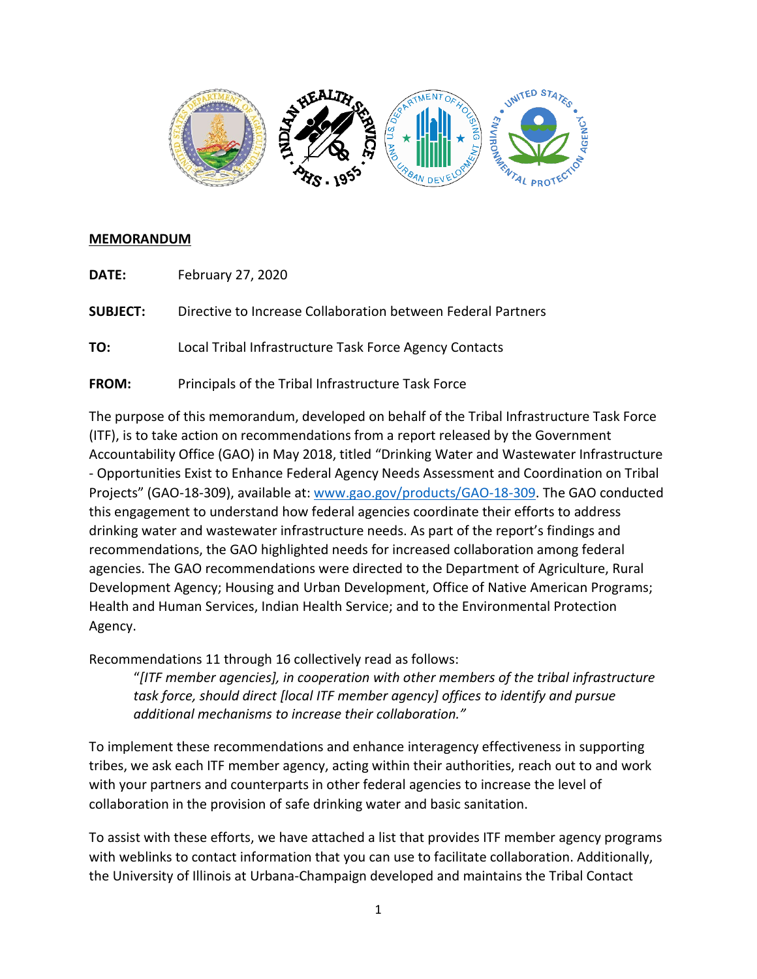

### **MEMORANDUM**

**DATE:** February 27, 2020

**SUBJECT:** Directive to Increase Collaboration between Federal Partners

**TO:** Local Tribal Infrastructure Task Force Agency Contacts

**FROM:** Principals of the Tribal Infrastructure Task Force

The purpose of this memorandum, developed on behalf of the Tribal Infrastructure Task Force (ITF), is to take action on recommendations from a report released by the Government Accountability Office (GAO) in May 2018, titled "Drinking Water and Wastewater Infrastructure - Opportunities Exist to Enhance Federal Agency Needs Assessment and Coordination on Tribal Projects" (GAO-18-309), available at: [www.gao.gov/products/GAO-18-309.](http://www.gao.gov/products/GAO-18-309) The GAO conducted this engagement to understand how federal agencies coordinate their efforts to address drinking water and wastewater infrastructure needs. As part of the report's findings and recommendations, the GAO highlighted needs for increased collaboration among federal agencies. The GAO recommendations were directed to the Department of Agriculture, Rural Development Agency; Housing and Urban Development, Office of Native American Programs; Health and Human Services, Indian Health Service; and to the Environmental Protection Agency.

Recommendations 11 through 16 collectively read as follows:

"*[ITF member agencies], in cooperation with other members of the tribal infrastructure task force, should direct [local ITF member agency] offices to identify and pursue additional mechanisms to increase their collaboration."*

To implement these recommendations and enhance interagency effectiveness in supporting tribes, we ask each ITF member agency, acting within their authorities, reach out to and work with your partners and counterparts in other federal agencies to increase the level of collaboration in the provision of safe drinking water and basic sanitation.

To assist with these efforts, we have attached a list that provides ITF member agency programs with weblinks to contact information that you can use to facilitate collaboration. Additionally, the University of Illinois at Urbana-Champaign developed and maintains the Tribal Contact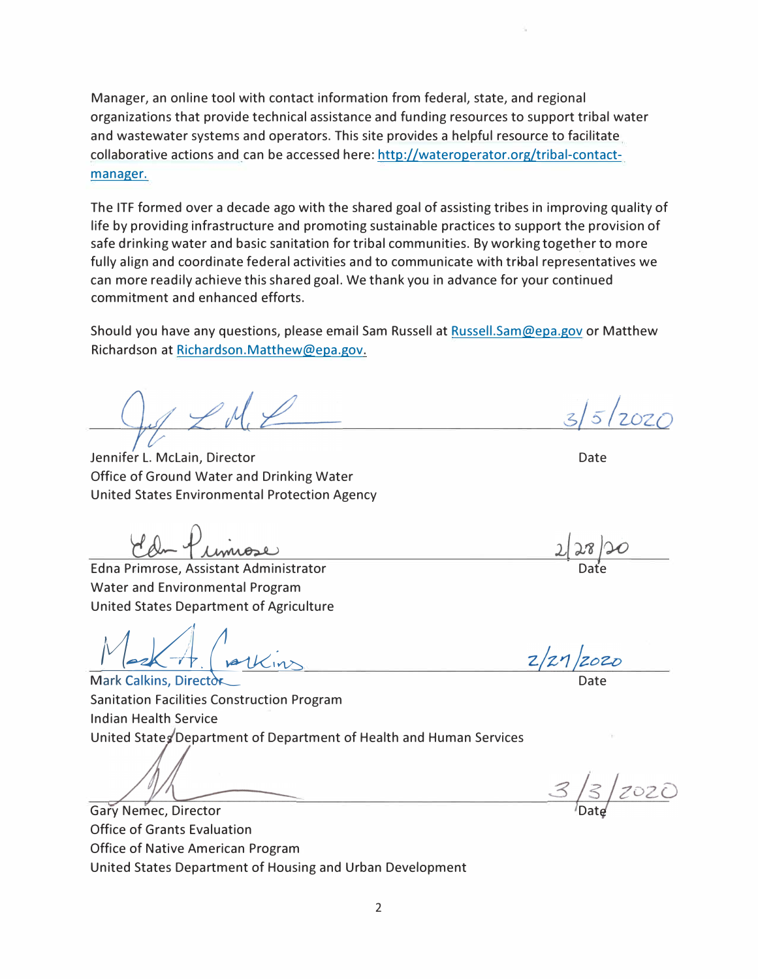Manager, an online tool with contact information from federal, state, and regional organizations that provide technical assistance and funding resources to support tribal water and wastewater systems and operators. This site provides a helpful resource to facilitate collaborative actions and can be accessed here: http://wateroperator.org/tribal-contactmanager.

The ITF formed over a decade ago with the shared goal of assisting tribes in improving quality of life by providing infrastructure and promoting sustainable practices to support the provision of safe drinking water and basic sanitation for tribal communities. By working together to more fully align and coordinate federal activities and to communicate with tribal representatives we can more readily achieve thisshared goal. We thank you in advance for your continued commitment and enhanced efforts.

Should you have any questions, please email Sam Russell at Russell.Sam@epa.gov or Matthew Richardson at Richardson.Matthew@epa.gov.

Jennifer L. Mclain, Director Office of Ground Water and Drinking Water United States Environmental Protection Agency

Edna Primrose, Assistant Administrator Water and Environmental Program United States Department of Agriculture

 $\frac{1}{\sqrt{2\pi}}$   $\frac{1}{\sqrt{2\pi}}$   $\frac{1}{\sqrt{2\pi}}$ 

Sanitation Facilities Construction Program Indian Health Service United States Department of Department of Health and Human Services

Gary Nemec, Director Office of Grants Evaluation Office of Native American Program United States Department of Housing and Urban Development

 $12020$ 

Date

Date

Date

2020